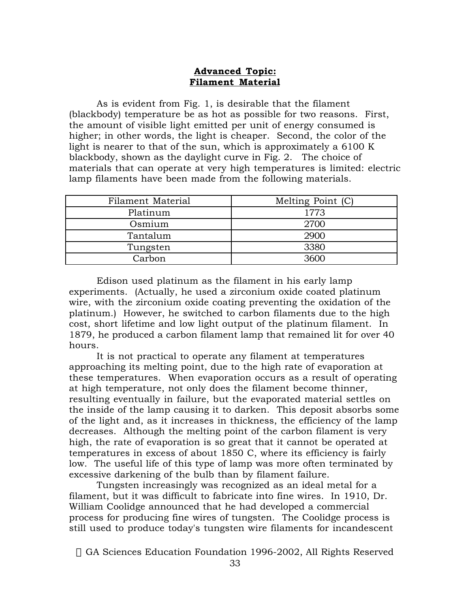## **Advanced Topic: Filament Material**

As is evident from Fig. 1, is desirable that the filament (blackbody) temperature be as hot as possible for two reasons. First, the amount of visible light emitted per unit of energy consumed is higher; in other words, the light is cheaper. Second, the color of the light is nearer to that of the sun, which is approximately a 6100 K blackbody, shown as the daylight curve in Fig. 2. The choice of materials that can operate at very high temperatures is limited: electric lamp filaments have been made from the following materials.

| Filament Material | Melting Point (C) |
|-------------------|-------------------|
| Platinum          | 1773              |
| Osmium            | 2700              |
| Tantalum          | 2900              |
| Tungsten          | 3380              |
| Carbon            | 3600              |

Edison used platinum as the filament in his early lamp experiments. (Actually, he used a zirconium oxide coated platinum wire, with the zirconium oxide coating preventing the oxidation of the platinum.) However, he switched to carbon filaments due to the high cost, short lifetime and low light output of the platinum filament. In 1879, he produced a carbon filament lamp that remained lit for over 40 hours.

It is not practical to operate any filament at temperatures approaching its melting point, due to the high rate of evaporation at these temperatures. When evaporation occurs as a result of operating at high temperature, not only does the filament become thinner, resulting eventually in failure, but the evaporated material settles on the inside of the lamp causing it to darken. This deposit absorbs some of the light and, as it increases in thickness, the efficiency of the lamp decreases. Although the melting point of the carbon filament is very high, the rate of evaporation is so great that it cannot be operated at temperatures in excess of about 1850 C, where its efficiency is fairly low. The useful life of this type of lamp was more often terminated by excessive darkening of the bulb than by filament failure.

Tungsten increasingly was recognized as an ideal metal for a filament, but it was difficult to fabricate into fine wires. In 1910, Dr. William Coolidge announced that he had developed a commercial process for producing fine wires of tungsten. The Coolidge process is still used to produce today's tungsten wire filaments for incandescent

© GA Sciences Education Foundation 1996-2002, All Rights Reserved